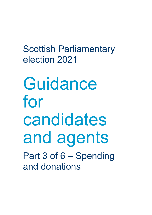Scottish Parliamentary election 2021

Guidance for candidates and agents Part 3 of 6 – Spending and donations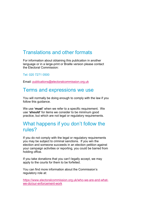# Translations and other formats

For information about obtaining this publication in another language or in a large-print or Braille version please contact the Electoral Commission:

Tel: 020 7271 0500

Email: [publications@electoralcommission.org.uk](mailto:publications@electoralcommission.org.uk)

# Terms and expressions we use

You will normally be doing enough to comply with the law if you follow this guidance.

We use **'must'** when we refer to a specific requirement. We use **'should'** for items we consider to be minimum good practice, but which are not legal or regulatory requirements.

# What happens if you don't follow the rules?

If you do not comply with the legal or regulatory requirements you may be subject to criminal sanctions. If you win the election and someone succeeds in an election petition against your campaign activities or reporting, you could be barred from holding office.

If you take donations that you can't legally accept, we may apply to the courts for them to be forfeited.

You can find more information about the Commission's regulatory role at:

[https://www.electoralcommission.org.uk/who-we-are-and-what](https://www.electoralcommission.org.uk/who-we-are-and-what-we-do/our-enforcement-work)[we-do/our-enforcement-work](https://www.electoralcommission.org.uk/who-we-are-and-what-we-do/our-enforcement-work)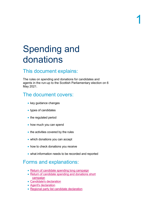# Spending and donations

# This document explains:

The rules on spending and donations for candidates and agents in the run-up to the Scottish Parliamentary election on 6 May 2021.

# The document covers:

- key guidance changes
- types of candidates
- the regulated period
- how much you can spend
- the activities covered by the rules
- which donations you can accept
- how to check donations you receive
- what information needs to be recorded and reported

# Forms and explanations:

- [Return of candidate spending long campaign](https://www.electoralcommission.org.uk/media/5080)
- [Return of candidate spending and donations short](https://www.electoralcommission.org.uk/media/3469)  [campaign](https://www.electoralcommission.org.uk/media/3469)
- [Candidate's declaration](https://www.electoralcommission.org.uk/media/189)
- [Agent's](https://www.electoralcommission.org.uk/media/4033) declaration
- [Regional party list candidate declaration](https://www.electoralcommission.org.uk/media/2234)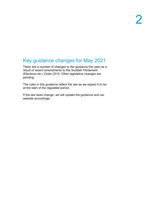# Key guidance changes for May 2021

There are a number of changes to the guidance this year as a result of recent amendments to the Scottish Parliament (Elections etc.) Order 2015. Other legislative changes are pending.

The rules in this guidance reflect the law as we expect it to be at the start of the regulated period.

If the law does change, we will update the guidance and our website accordingly.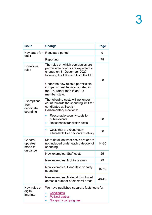| <b>Issue</b>                                       | <b>Change</b>                                                                                                                                 | Page  |
|----------------------------------------------------|-----------------------------------------------------------------------------------------------------------------------------------------------|-------|
| Key dates for<br>2021                              | Regulated period                                                                                                                              | 9     |
|                                                    | Reporting                                                                                                                                     | 78    |
| Donations<br>rules                                 | The rules on which companies are<br>permissible donors are expected to<br>change on 31 December 2020,<br>following the UK's exit from the EU. | 58    |
|                                                    | Under the new rules a permissible<br>company must be incorporated in<br>the UK, rather than in an EU<br>member state.                         |       |
| <b>Exemptions</b><br>from<br>candidate<br>spending | The following costs will no longer<br>count towards the spending limit for<br>candidates at Scottish<br>Parliamentary elections:              |       |
|                                                    | Reasonable security costs for<br>public events<br>Reasonable translation costs                                                                | 38    |
|                                                    | Costs that are reasonably<br>attributable to a person's disability                                                                            | 36    |
| General<br>updates<br>made to<br>guidance          | More detail on what costs are or are<br>not included under each category of<br>spending                                                       | 14-30 |
|                                                    | New examples: Staff costs                                                                                                                     | 25    |
|                                                    | New examples: Mobile phones                                                                                                                   | 29    |
|                                                    | New examples: Candidate or party<br>spending                                                                                                  | 45-49 |
|                                                    | New examples: Material distributed<br>across a number of electoral areas                                                                      | 48-49 |
| New rules on<br>digital<br>imprints                | We have published separate factsheets for:<br><b>Candidates</b><br><b>Political parties</b><br><u>Non-party campaigners</u>                   |       |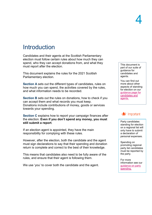# Introduction

Candidates and their agents at the Scottish Parliamentary election must follow certain rules about how much they can spend, who they can accept donations from, and what they must report after the election.

This document explains the rules for the 2021 Scottish Parliamentary election.

**Section A** sets out the different types of candidates, rules on how much you can spend, the activities covered by the rules, and what information needs to be recorded.

**Section B** sets out the rules on donations, how to check if you can accept them and what records you must keep. Donations include contributions of money, goods or services towards your spending.

**Section C** explains how to report your campaign finances after the election. **Even if you don't spend any money, you must still submit a report**.

If an election agent is appointed, they have the main responsibility for complying with these rules.

However, after the election, both the candidate and the agent must sign declarations to say that their spending and donation return is complete and correct to the best of their knowledge.

This means that candidates also need to be fully aware of the rules, and ensure that their agent is following them.

We use 'you' to cover both the candidate and the agent.

This document is part of our suite of guidance for candidates and agents.

You can find out more about other aspects of standing for election on our [guidance page for](http://www.electoralcommission.org.uk/i-am-a/candidate-or-agent/scottish-parliamentary-elections)  [candidates and](http://www.electoralcommission.org.uk/i-am-a/candidate-or-agent/scottish-parliamentary-elections)  [agents.](http://www.electoralcommission.org.uk/i-am-a/candidate-or-agent/scottish-parliamentary-elections)



Party candidates standing for election on a regional list will only have to submit a declaration of personal expenses.

Spending on promoting regional party list candidates must be reported by the party.

For more information see our [guidance on party](https://www.electoralcommission.org.uk/media/7817)  [spending.](https://www.electoralcommission.org.uk/media/7817)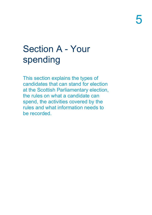# Section A - Your spending

This section explains the types of candidates that can stand for election at the Scottish Parliamentary election, the rules on what a candidate can spend, the activities covered by the rules and what information needs to be recorded.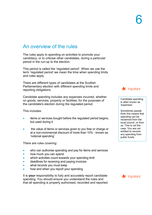# An overview of the rules

The rules apply to spending on activities to promote your candidacy, or to criticise other candidates, during a particular period in the run-up to the election.

This period is called the 'regulated period'. When we use the term 'regulated period' we mean the time when spending limits and rules apply.

There are different types of candidates at the Scottish Parliamentary election with different spending limits and reporting obligations.

Candidate spending includes any expenses incurred, whether on goods, services, property or facilities, for the purposes of the candidate's election during the regulated period.

This includes:

- items or services bought before the regulated period begins, but used during it
- the value of items or services given to you free or charge or at a non-commercial discount of more than 10% - known as 'notional spending'

There are rules covering:

- who can authorise spending and pay for items and services
- how much you can spend
- which activities count towards your spending limit
- deadlines for receiving and paying invoices
- what records you must keep
- how and when you report your spending

It is **your** responsibility to fully and accurately report candidate spending. You should ensure you understand the rules and that all spending is properly authorised, recorded and reported.



Candidate spending is often known as 'expenses'.

Sometimes people think this means that spending can be reclaimed from the local council, or from us. This is not the case. You are not entitled to recover any spending from public funds.

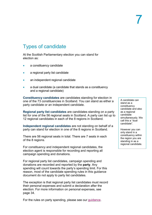# Types of candidate

At the Scottish Parliamentary election you can stand for election as:

- a constituency candidate
- a regional party list candidate
- an independent regional candidate
- a dual candidate (a candidate that stands as a constituency and a regional candidate)

**Constituency candidates** are candidates standing for election in one of the 73 constituencies in Scotland. You can stand as either a party candidate or an independent candidate.

**Regional party list candidates** are candidates standing on a party list for one of the 56 regional seats in Scotland. A party can list up to 12 regional candidates in each of the 8 regions in Scotland.

**Independent regional candidates** are not standing on behalf of a party can stand for election in one of the 8 regions in Scotland.

There are 56 regional seats in total. There are 7 seats in each of the 8 regions.

For constituency and independent regional candidates, the election agent is responsible for recording and reporting all campaign spending and donations.

For regional party list candidates, campaign spending and donations are recorded and reported by the **party**. Any spending will count towards the party's spending limit. For this reason, most of the candidate spending rules in this guidance document do not apply to party list candidates.

The exception is that regional party list candidates must record their personal expenses and submit a declaration after the election. For more information on personal expenses, see page 34.

For the rules on party spending, please see our [guidance.](https://www.electoralcommission.org.uk/media/7817)

A candidate can stand as a constituency candidate and also as a regional candidate simultaneously. We call this a "dual candidate".

However you can only stand in a constituency within the region you are standing in as a regional candidate.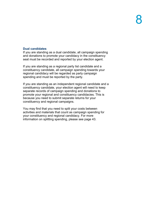## **Dual candidates**

If you are standing as a dual candidate, all campaign spending and donations to promote your candidacy in the constituency seat must be recorded and reported by your election agent.

If you are standing as a regional party list candidate and a constituency candidate, all campaign spending towards your regional candidacy will be regarded as party campaign spending and must be reported by the party.

If you are standing as an independent regional candidate and a constituency candidate, your election agent will need to keep separate records of campaign spending and donations to promote your regional and constituency candidacies. This is because you need to submit separate returns for your constituency and regional campaigns.

You may find that you need to split your costs between activities and materials that count as campaign spending for your constituency and regional candidacy. For more information on splitting spending, please see page 43.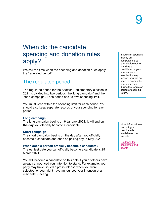# When do the candidate spending and donation rules apply?

We call the time when the spending and donation rules apply the 'regulated period'.

# The regulated period

The regulated period for the Scottish Parliamentary election in 2021 is divided into two periods: the 'long campaign' and the 'short campaign'. Each period has its own spending limit.

You must keep within the spending limit for each period. You should also keep separate records of your spending for each period.

## **Long campaign**

The long campaign begins on 6 January 2021. It will end on **the day** you officially become a candidate

### **Short campaign**

The short campaign begins on the day **after** you officially become a candidate and ends on polling day, 6 May 2021.

### **When does a person officially become a candidate?**

The earliest date you can officially become a candidate is 25 March 2021.

You will become a candidate on this date if you or others have already announced your intention to stand. For example, your party may have issued a press release when you were selected, or you might have announced your intention at a residents' meeting.

If you start spending money on campaigning but later decide not to stand as a candidate, or your nomination is rejected for any reason, you will not need to account for your expenses during the regulated period or submit a return.

More information on becoming a candidate is available on our website:

[Guidance for](http://www.electoralcommission.org.uk/i-am-a/candidate-or-agent/scottish-parliamentary-elections)  [candidates and](http://www.electoralcommission.org.uk/i-am-a/candidate-or-agent/scottish-parliamentary-elections)  [agents](http://www.electoralcommission.org.uk/i-am-a/candidate-or-agent/scottish-parliamentary-elections)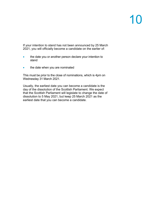If your intention to stand has not been announced by 25 March 2021, you will officially become a candidate on the earlier of:

- the date you or another person declare your intention to stand
- the date when you are nominated

This must be prior to the close of nominations, which is 4pm on Wednesday 31 March 2021.

Usually, the earliest date you can become a candidate is the day of the dissolution of the Scottish Parliament. We expect that the Scottish Parliament will legislate to change the date of dissolution to 5 May 2021, but keep 25 March 2021 as the earliest date that you can become a candidate.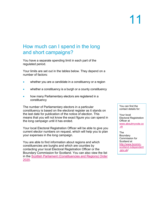# How much can I spend in the long and short campaigns?

You have a separate spending limit in each part of the regulated period.

Your limits are set out in the tables below. They depend on a number of factors:

- whether you are a candidate in a constituency or a region
- whether a constituency is a burgh or a county constituency
- how many Parliamentary electors are registered in a constituency

The number of Parliamentary electors in a particular constituency is based on the electoral register as it stands on the last date for publication of the notice of election. This means that you will not know the exact figure you can spend in the long campaign until it has ended.

Your local Electoral Registration Officer will be able to give you current elector numbers on request, which will help you to plan your expenses in the long campaign.

You are able to find information about regions and which constituencies are burghs and which are counties by contacting your local Electoral Registration Officer or the Boundary Commission for Scotland. You can also view the list in the [Scottish Parliament \(Constituencies and Regions\) Order](https://www.legislation.gov.uk/ssi/2020/375/schedules/made?view=plain)  [2020.](https://www.legislation.gov.uk/ssi/2020/375/schedules/made?view=plain)

You can find the contact details for:

Your local Electoral Registration Officer at [www.aboutmyvote.co](http://www.aboutmyvote.co.uk/) [.uk](http://www.aboutmyvote.co.uk/)

The Boundary Commission for Scotland at [http://www.bcomm](http://www.bcomm-scotland.independent.gov.uk/)[scotland.independent](http://www.bcomm-scotland.independent.gov.uk/) [.gov.uk/](http://www.bcomm-scotland.independent.gov.uk/)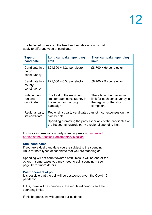The table below sets out the fixed and variable amounts that apply to different types of candidate:

| <b>Type of</b><br>candidate              | Long campaign spending<br><b>limit</b>                                                                                                                                                                  | <b>Short campaign spending</b><br>limit                                                            |  |
|------------------------------------------|---------------------------------------------------------------------------------------------------------------------------------------------------------------------------------------------------------|----------------------------------------------------------------------------------------------------|--|
| Candidate in a<br>burgh<br>constituency  | £21,500 + 4.2p per elector                                                                                                                                                                              | £8,700 + 6p per elector                                                                            |  |
| Candidate in a<br>county<br>constituency | £21,500 + 6.3p per elector                                                                                                                                                                              | £8,700 + 9p per elector                                                                            |  |
| Independent<br>regional<br>candidate     | The total of the maximum<br>limit for each constituency in<br>the region for the long<br>campaign                                                                                                       | The total of the maximum<br>limit for each constituency in<br>the region for the short<br>campaign |  |
| Regional party<br>list candidate         | Regional list party candidates cannot incur expenses on their<br>own behalf<br>Spending promoting the party list or any of the candidates on<br>the list counts towards party's regional spending limit |                                                                                                    |  |

For more information on party spending see our [guidance for](https://www.electoralcommission.org.uk/media/7817)  [parties at the Scottish Parliamentary election.](https://www.electoralcommission.org.uk/media/7817)

## **Dual candidates**

If you are a dual candidate you are subject to the spending limits for both types of candidate that you are standing as.

Spending will not count towards both limits. It will be one or the other. In some cases you may need to split spending – see page 43 for more details.

## **Postponement of poll**

It is possible that the poll will be postponed given the Covid-19 pandemic.

If it is, there will be changes to the regulated periods and the spending limits.

If this happens, we will update our guidance.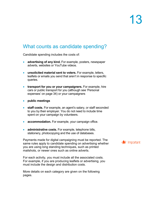# What counts as candidate spending?

Candidate spending includes the costs of:

- **advertising of any kind.** For example, posters, newspaper adverts, websites or YouTube videos.
- **unsolicited material sent to voters.** For example, letters, leaflets or emails you send that aren't in response to specific queries.
- **transport for you or your campaigners.** For example, hire cars or public transport for you (although see 'Personal expenses' on page 34) or your campaigners
- **public meetings**
- **staff costs.** For example, an agent's salary, or staff seconded to you by their employer. You do not need to include time spent on your campaign by volunteers.
- **accommodation.** For example, your campaign office.
- **administrative costs.** For example, telephone bills, stationery, photocopying and the use of databases.

Payments made for digital campaigning must be reported. The same rules apply to candidate spending on advertising whether you are using long standing techniques, such as printed mailshots, or newer ones such as online adverts.

For each activity, you must include all the associated costs. For example, if you are producing leaflets or advertising, you must include the design and distribution costs.

More details on each category are given on the following pages.

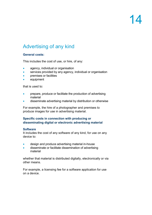# Advertising of any kind

## **General costs:**

This includes the cost of use, or hire, of any:

- agency, individual or organisation
- services provided by any agency, individual or organisation
- **premises or facilities**
- equipment

that is used to:

- prepare, produce or facilitate the production of advertising material
- disseminate advertising material by distribution or otherwise

For example, the hire of a photographer and premises to produce images for use in advertising material.

## **Specific costs in connection with producing or disseminating digital or electronic advertising material**

### **Software**

It includes the cost of any software of any kind, for use on any device to:

- design and produce advertising material in-house
- disseminate or facilitate dissemination of advertising material

whether that material is distributed digitally, electronically or via other means.

For example, a licensing fee for a software application for use on a device.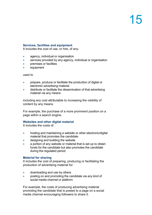## **Services, facilities and equipment**

It includes the cost of use, or hire, of any:

- agency, individual or organisation
- services provided by any agency, individual or organisation
- premises or facilities
- equipment

### used to

- prepare, produce or facilitate the production of digital or electronic advertising material
- distribute or facilitate the dissemination of that advertising material via any means

including any cost attributable to increasing the visibility of content by any means.

For example, the purchase of a more prominent position on a page within a search engine.

## **Websites and other digital material**

It includes the costs of:

- hosting and maintaining a website or other electronic/digital material that promotes the candidate
- designing and building the website
- a portion of any website or material that is set up to obtain funds for the candidate but also promotes the candidate during the regulated period

### **Material for sharing**

It includes the cost of preparing, producing or facilitating the production of advertising material for:

- downloading and use by others
- posting on and promoting the candidate via any kind of social media channel or platform

For example, the costs of producing advertising material promoting the candidate that is posted to a page on a social media channel encouraging followers to share it.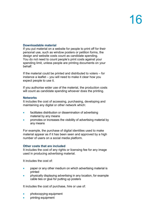## **Downloadable material**

If you put material on a website for people to print off for their personal use, such as window posters or petition forms, the design and website costs count as candidate spending. You do not need to count people's print costs against your spending limit, unless people are printing documents on your behalf.

If the material could be printed and distributed to voters – for instance a leaflet – you will need to make it clear how you expect people to use it.

If you authorise wider use of the material, the production costs will count as candidate spending whoever does the printing.

## **Networks**

It includes the cost of accessing, purchasing, developing and maintaining any digital or other network which:

- facilitates distribution or dissemination of advertising material by any means
- promotes or increases the visibility of advertising material by any means

For example, the purchase of digital identities used to make material appear as if it has been seen and approved by a high number of users on a social media platform.

## **Other costs that are included**

It includes the cost of any rights or licensing fee for any image used in producing advertising material.

It includes the cost of:

- paper or any other medium on which advertising material is printed
- physically displaying advertising in any location, for example cable ties or glue for putting up posters

It includes the cost of purchase, hire or use of:

- photocopying equipment
- **printing equipment**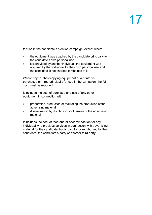for use in the candidate's election campaign, except where:

- the equipment was acquired by the candidate principally for the candidate's own personal use
- it is provided by another individual, the equipment was acquired by that individual for their own personal use and the candidate is not charged for the use of it

Where paper, photocopying equipment or a printer is purchased or hired principally for use in the campaign, the full cost must be reported.

It includes the cost of purchase and use of any other equipment in connection with:

- preparation, production or facilitating the production of the advertising material
- dissemination by distribution or otherwise of the advertising material

It includes the cost of food and/or accommodation for any individual who provides services in connection with advertising material for the candidate that is paid for or reimbursed by the candidate, the candidate's party or another third party.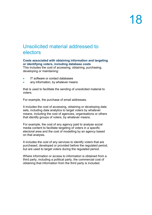# Unsolicited material addressed to electors

## **Costs associated with obtaining information and targeting or identifying voters, including database costs**

This includes the cost of accessing, obtaining, purchasing, developing or maintaining:

- IT software or contact databases
- any information, by whatever means

that is used to facilitate the sending of unsolicited material to voters.

For example, the purchase of email addresses.

It includes the cost of accessing, obtaining or developing data sets, including data analytics to target voters by whatever means, including the cost of agencies, organisations or others that identify groups of voters, by whatever means.

For example, the cost of any agency paid to analyse social media content to facilitate targeting of voters in a specific electoral area and the cost of modelling by an agency based on that analysis.

It includes the cost of any services to identify voters that are purchased, developed or provided before the regulated period, but are used to target voters during the regulated period.

Where information or access to information is obtained from a third party, including a political party, the commercial cost of obtaining that information from the third party is included.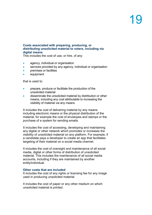## **Costs associated with preparing, producing, or distributing unsolicited material to voters, including via digital means**

This includes the cost of use, or hire, of any:

- agency, individual or organisation
- services provided by any agency, individual or organisation
- **premises or facilities**
- equipment

that is used to:

- prepare, produce or facilitate the production of the unsolicited material
- disseminate the unsolicited material by distribution or other means, including any cost attributable to increasing the visibility of material via any means

It includes the cost of delivering material by any means including electronic means or the physical distribution of the material, for example the cost of envelopes and stamps or the purchase of a system for sending emails.

It includes the cost of accessing, developing and maintaining any digital or other network which promotes or increases the visibility of unsolicited material on any platform. For example, if a candidate pays a developer to create an app that facilitates targeting of their material on a social media channel.

It includes the cost of oversight and maintenance of all social media, digital or other forms of distribution of unsolicited material. This includes the maintenance of all social media accounts, including if they are maintained by another entity/individual.

### **Other costs that are included**

It includes the cost of any rights or licensing fee for any image used in producing unsolicited material.

It includes the cost of paper or any other medium on which unsolicited material is printed.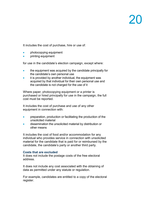It includes the cost of purchase, hire or use of:

- photocopying equipment
- **printing equipment**

for use in the candidate's election campaign, except where:

- the equipment was acquired by the candidate principally for the candidate's own personal use
- it is provided by another individual, the equipment was acquired by that individual for their own personal use and the candidate is not charged for the use of it

Where paper, photocopying equipment or a printer is purchased or hired principally for use in the campaign, the full cost must be reported.

It includes the cost of purchase and use of any other equipment in connection with:

- preparation, production or facilitating the production of the unsolicited material
- dissemination the unsolicited material by distribution or other means

It includes the cost of food and/or accommodation for any individual who provides service in connection with unsolicited material for the candidate that is paid for or reimbursed by the candidate, the candidate's party or another third party.

## **Costs that are excluded**

It does not include the postage costs of the free electoral address.

It does not include any cost associated with the obtaining of data as permitted under any statute or regulation.

For example, candidates are entitled to a copy of the electoral register.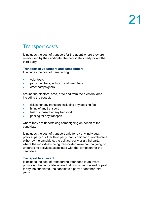# Transport costs

It includes the cost of transport for the agent where they are reimbursed by the candidate, the candidate's party or another third party.

# **Transport of volunteers and campaigners**

It includes the cost of transporting:

- volunteers
- party members, including staff members
- other campaigners

around the electoral area, or to and from the electoral area, including the cost of:

- tickets for any transport, including any booking fee
- hiring of any transport
- fuel purchased for any transport
- parking for any transport

where they are undertaking campaigning on behalf of the candidate.

It includes the cost of transport paid for by any individual, political party or other third party that is paid for or reimbursed either by the candidate, the political party or a third party, where the individuals being transported were campaigning or undertaking activities associated with the campaign for the candidate.

## **Transport to an event**

It includes the cost of transporting attendees to an event promoting the candidate where that cost is reimbursed or paid for by the candidate, the candidate's party or another third party.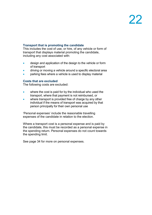## **Transport that is promoting the candidate**

This includes the cost of use, or hire, of any vehicle or form of transport that displays material promoting the candidate, including any cost associated with:

- design and application of the design to the vehicle or form of transport
- driving or moving a vehicle around a specific electoral area
- parking fees where a vehicle is used to display material

## **Costs that are excluded**

The following costs are excluded:

- where the cost is paid for by the individual who used the transport, where that payment is not reimbursed, or
- where transport is provided free of charge by any other individual if the means of transport was acquired by that person principally for their own personal use

'Personal expenses' include the reasonable travelling expenses of the candidate in relation to the election.

Where a transport cost is a personal expense and is paid by the candidate, this must be recorded as a personal expense in the spending return. Personal expenses do not count towards the spending limit.

See page 34 for more on personal expenses.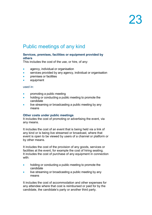# Public meetings of any kind

## **Services, premises, facilities or equipment provided by others**

This includes the cost of the use, or hire, of any:

- agency, individual or organisation
- services provided by any agency, individual or organisation
- **premises or facilities**
- equipment

### used in:

- promoting a public meeting
- holding or conducting a public meeting to promote the candidate
- live streaming or broadcasting a public meeting by any means

#### **Other costs under public meetings**

It includes the cost of promoting or advertising the event, via any means.

It includes the cost of an event that is being held via a link of any kind or is being live streamed or broadcast, where that event is open to be viewed by users of a channel or platform or by other means.

It includes the cost of the provision of any goods, services or facilities at the event, for example the cost of hiring seating. It includes the cost of purchase of any equipment in connection with:

- holding or conducting a public meeting to promote the candidate
- live streaming or broadcasting a public meeting by any means

It includes the cost of accommodation and other expenses for any attendee where that cost is reimbursed or paid for by the candidate, the candidate's party or another third party.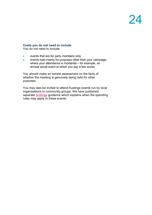## **Costs you do not need to include**

You do not need to include:

- events that are for party members only
- events held mainly for purposes other than your campaign, where your attendance is incidental – for example, an annual social event at which you say a few words

You should make an honest assessment on the facts of whether the meeting is genuinely being held for other purposes.

You may also be invited to attend hustings events run by local organisations or community groups. We have published separate **hustings** guidance which explains when the spending rules may apply to these events.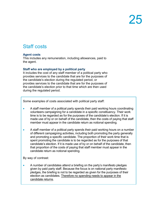# Staff costs

## **Agent costs**

This includes any remuneration, including allowances, paid to the agent.

## **Staff who are employed by a political party**

It includes the cost of any staff member of a political party who provides services to the candidate that are for the purposes of the candidate's election during the regulated period, or provides services to the candidate that are for the purposes of the candidate's election prior to that time which are then used during the regulated period.

Some examples of costs associated with political party staff:

- A staff member of a political party spends their paid working hours coordinating volunteers campaigning for a candidate in a specific constituency. Their work time is to be regarded as for the purposes of the candidate's election. If it is made use of by or on behalf of the candidate, then the costs of paying that staff member must appear in the candidate return as notional spending.
- A staff member of a political party spends their paid working hours on a number of different campaigning activities, including both promoting the party generally and promoting a specific candidate. The proportion of their work time that is spent promoting the candidate is to be regarded as for the purposes of that candidate's election. If it is made use of by or on behalf of the candidate, then that proportion of the costs of paying that staff member must appear in the candidate return as notional spending.

By way of contrast:

• A number of candidates attend a briefing on the party's manifesto pledges given by paid party staff. Because the focus is on national party manifesto pledges, the briefing is not to be regarded as given for the purposes of their election as candidates. Therefore no spending needs to appear in the candidate returns.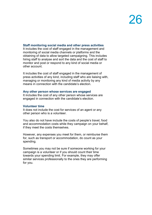## **Staff monitoring social media and other press activities**

It includes the cost of staff engaged in the management and monitoring of social media channels or platforms and the obtaining of data to allow targeted campaigning. This includes hiring staff to analyse and sort the data and the cost of staff to monitor and post or respond to any kind of social media or other account.

It includes the cost of staff engaged in the management of press activities of any kind, including staff who are liaising with, managing or monitoring any kind of media activity by any means in connection with the candidate's election.

### **Any other person whose services are engaged**

It includes the cost of any other person whose services are engaged in connection with the candidate's election.

## **Volunteer time**

It does not include the cost for services of an agent or any other person who is a volunteer.

You also do not have include the costs of people's travel, food and accommodation costs while they campaign on your behalf, if they meet the costs themselves.

However, any expenses you meet for them, or reimburse them for, such as transport or accommodation, do count as your spending.

Sometimes you may not be sure if someone working for your campaign is a volunteer or if you should count their time towards your spending limit. For example, they may offer similar services professionally to the ones they are performing for you.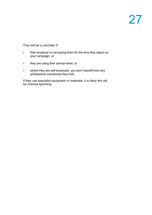They will be a volunteer if:

- their employer is not paying them for the time they spend on your campaign, or
- they are using their annual leave, or
- where they are self-employed, you won't benefit from any professional insurances they hold

If they use specialist equipment or materials, it is likely this will be notional spending.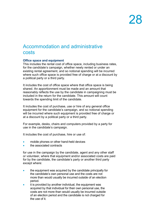# Accommodation and administrative costs

## **Office space and equipment**

This includes the rental cost of office space, including business rates, for the candidate's campaign, whether newly rented or under an existing rental agreement, and so notional spending will be incurred where such office space is provided free of charge or at a discount by a political party or a third party.

It includes the cost of office space where that office space is being shared. An apportionment must be made and an amount that reasonably reflects the use by the candidate in campaigning must be included in the return for the candidate. This amount will count towards the spending limit of the candidate.

It includes the cost of purchase, use or hire of any general office equipment for the candidate's campaign, and so notional spending will be incurred where such equipment is provided free of charge or at a discount by a political party or a third party.

For example, desks, chairs and computers provided by a party for use in the candidate's campaign.

It includes the cost of purchase, hire or use of:

- mobile phones or other hand-held devices
- the associated contracts

for use in the campaign by the candidate, agent and any other staff or volunteer, where that equipment and/or associated costs are paid for by the candidate, the candidate's party or another third party except where:

- the equipment was acquired by the candidate principally for the candidate's own personal use and the costs are not more than would usually be incurred outside of an election period.
- it is provided by another individual, the equipment was acquired by that individual for their own personal use, the costs are not more than would usually be incurred outside of an election period and the candidate is not charged for the use of it.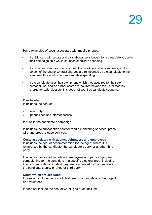Some examples of costs associated with mobile phones:

- If a SIM card with a data and calls allowance is bought for a candidate to use in their campaign, this would count as candidate spending.
- If a volunteer's mobile phone is used to co-ordinate other volunteers, and a portion of the phone contract charges are reimbursed by the candidate to the volunteer, this would count as candidate spending.
- If the candidate uses their own phone which they acquired for their own personal use, and no further costs are incurred beyond the usual monthly charge for calls, data etc, this does not count as candidate spending.

## **Overheads**

It includes the cost of:

- **electricity**
- phone lines and internet access

for use in the candidate's campaign.

It includes the subscription cost for media monitoring services, press wire and press release services.

## **Costs associated with agents, volunteers and employees**

It includes the cost of accommodation for the agent where it is reimbursed by the candidate, the candidate's party or another third party.

It includes the cost of volunteers, employees and party employees campaigning for the candidate in a specific electoral area, including their accommodation costs if they are reimbursed by the candidate, the candidate's party or another third party.

### **Costs which are excluded**

It does not include the cost of childcare for a candidate or their agent or a volunteer.

It does not include the cost of water, gas or council tax.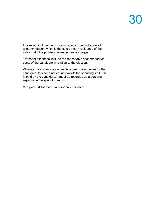It does not include the provision by any other individual of accommodation which is the sole or main residence of the individual if the provision is made free of charge.

'Personal expenses' include the reasonable accommodation costs of the candidate in relation to the election.

Where an accommodation cost is a personal expense for the candidate, this does not count towards the spending limit. If it is paid by the candidate, it must be recorded as a personal expense in the spending return.

See page 34 for more on personal expenses.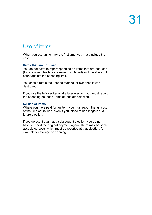# Use of items

When you use an item for the first time, you must include the cost.

### **Items that are not used**

You do not have to report spending on items that are not used (for example if leaflets are never distributed) and this does not count against the spending limit.

You should retain the unused material or evidence it was destroyed.

If you use the leftover items at a later election, you must report the spending on those items at that later election.

## **Re-use of items**

Where you have paid for an item, you must report the full cost at the time of first use, even if you intend to use it again at a future election.

If you do use it again at a subsequent election, you do not have to report the original payment again. There may be some associated costs which must be reported at that election, for example for storage or cleaning.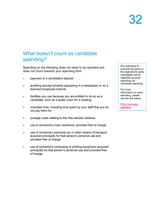# What doesn't count as candidate spending?

Spending on the following does not need to be reported and does not count towards your spending limit:

- payment of a candidate's deposit
- anything (except adverts) appearing in a newspaper or on a licensed broadcast channel
- facilities you use because you are entitled to do so as a candidate, such as a public room for a meeting
- volunteer time, including time spent by your staff that you do not pay them for
- postage costs relating to the free election address
- use of someone's main residence, provided free of charge
- use of someone's personal car or other means of transport, acquired principally for that person's personal use and provided free of charge
- use of someone's computing or printing equipment acquired principally for that person's personal use and provided free of charge

Any spending to promote the party or the regional list party candidates will be regarded as party spending not candidate spending.

For more information on party spending, please see the link below.

[Party campaign](https://www.electoralcommission.org.uk/media/7817)  [spending](https://www.electoralcommission.org.uk/media/7817)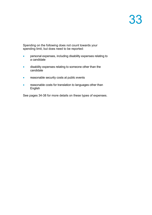Spending on the following does not count towards your spending limit, but does need to be reported:

- personal expenses, including disability expenses relating to a candidate
- disability expenses relating to someone other than the candidate
- reasonable security costs at public events
- reasonable costs for translation to languages other than English

See pages 34-38 for more details on these types of expenses.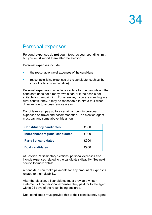# Personal expenses

Personal expenses do **not** count towards your spending limit, but you **must** report them after the election.

Personal expenses include:

- the reasonable travel expenses of the candidate
- reasonable living expenses of the candidate (such as the cost of hotel accommodation)

Personal expenses may include car hire for the candidate if the candidate does not already own a car, or if their car is not suitable for campaigning. For example, if you are standing in a rural constituency, it may be reasonable to hire a four-wheeldrive vehicle to access remote areas.

Candidates can pay up to a certain amount in personal expenses on travel and accommodation. The election agent must pay any sums above this amount:

| <b>Constituency candidates</b>  | £600 |
|---------------------------------|------|
| Independent regional candidates | £900 |
| <b>Party list candidates</b>    | £900 |
| <b>Dual candidates</b>          | £900 |

At Scottish Parliamentary elections, personal expenses also include expenses related to the candidate's disability. See next section for more details.

A candidate can make payments for any amount of expenses related to their disability.

After the election, all candidates must provide a written statement of the personal expenses they paid for to the agent within 21 days of the result being declared.

Dual candidates must provide this to their constituency agent.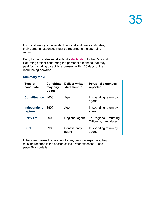For constituency, independent regional and dual candidates, their personal expenses must be reported in the spending return.

Party list candidates must submit a **declaration** to the Regional Returning Officer confirming the personal expenses that they paid for, including disability expenses, within 35 days of the result being declared.

### **Summary table**

| Type of<br>candidate    | <b>Candidate</b><br>may pay<br>$up$ to: | <b>Deliver written</b><br>statement to | <b>Personal expenses</b><br>reported           |
|-------------------------|-----------------------------------------|----------------------------------------|------------------------------------------------|
| <b>Constituency</b>     | £600                                    | Agent                                  | In spending return by<br>agent                 |
| Independent<br>regional | £900                                    | Agent                                  | In spending return by<br>agent                 |
| <b>Party list</b>       | £900                                    | Regional agent                         | To Regional Returning<br>Officer by candidates |
| <b>Dual</b>             | £900                                    | Constituency<br>agent                  | In spending return by<br>agent                 |

If the agent makes the payment for any personal expenses, they must be reported in the section called 'Other expenses' – see page 38 for details.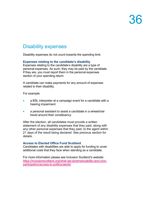## Disability expenses

Disability expenses do not count towards the spending limit.

### **Expenses relating to the candidate's disability**

Expenses relating to the candidate's disability are a type of personal expenses. As such, they may be paid by the candidate. If they are, you must report them in the personal expenses section of your spending return.

A candidate can make payments for any amount of expenses related to their disability.

For example:

- a BSL interpreter at a campaign event for a candidate with a hearing impairment
- a personal assistant to assist a candidate in a wheelchair travel around their constituency

After the election, all candidates must provide a written statement of any disability expenses that they paid, along with any other personal expenses that they paid, to the agent within 21 days of the result being declared. See previous section for details.

### **Access to Elected Office Fund Scotland**

Candidates with disabilities are able to apply for funding to cover additional costs that they face when standing as a candidate.

For more information please see Inclusion Scotland's website: [https://inclusionscotland.org/what-we-do/employability-and-civic](https://inclusionscotland.org/what-we-do/employability-and-civic-participation/access-to-politics/aeofs/)[participation/access-to-politics/aeofs/](https://inclusionscotland.org/what-we-do/employability-and-civic-participation/access-to-politics/aeofs/)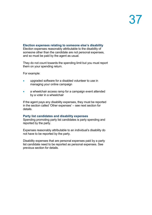### **Election expenses relating to someone else's disability**

Election expenses reasonably attributable to the disability of someone other than the candidate are not personal expenses, and so must be paid by the agent as usual.

They do not count towards the spending limit but you must report them on your spending return.

For example:

- upgraded software for a disabled volunteer to use in managing your online campaign
- a wheelchair access ramp for a campaign event attended by a voter in a wheelchair

If the agent pays any disability expenses, they must be reported in the section called 'Other expenses' – see next section for details.

#### **Party list candidates and disability expenses**

Spending promoting party list candidates is party spending and reported by the party.

Expenses reasonably attributable to an individual's disability do not have to be reported by the party.

Disability expenses that are personal expenses paid by a party list candidate need to be reported as personal expenses. See previous section for details.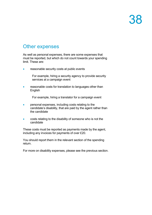## Other expenses

As well as personal expenses, there are some expenses that must be reported, but which do not count towards your spending limit. These are:

• reasonable security costs at public events

For example, hiring a security agency to provide security services at a campaign event

• reasonable costs for translation to languages other than English

For example, hiring a translator for a campaign event

- personal expenses, including costs relating to the candidate's disability, that are paid by the agent rather than the candidate
- costs relating to the disability of someone who is not the candidate

These costs must be reported as payments made by the agent, including any invoices for payments of over £20.

You should report them in the relevant section of the spending return.

For more on disability expenses, please see the previous section.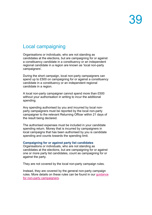## Local campaigning

Organisations or individuals, who are not standing as candidates at the elections, but are campaigning for or against a constituency candidate in a constituency or an independent regional candidate in a region are known as 'local non-party campaigners'.

During the short campaign, local non-party campaigners can spend up to £500 on campaigning for or against a constituency candidate in a constituency or an independent regional candidate in a region.

A local non-party campaigner cannot spend more than £500 without your authorisation in writing to incur the additional spending.

Any spending authorised by you and incurred by local nonparty campaigners must be reported by the local non-party campaigner to the relevant Returning Officer within 21 days of the result being declared.

The authorised expenses must be included in your candidate spending return. Money that is incurred by campaigners in local campaigns that has been authorised by you is candidate spending and counts towards the spending limit.

### **Campaigning for or against party list candidates**

Organisations or individuals, who are not standing as candidates at the elections, but are campaigning for or against one or more party list candidates, count as campaigning for or against the party.

They are not covered by the local non-party campaign rules.

Instead, they are covered by the general non-party campaign rules. More details on these rules can be found in our [guidance](https://www.electoralcommission.org.uk/media/5084)  [for non-party campaigners.](https://www.electoralcommission.org.uk/media/5084)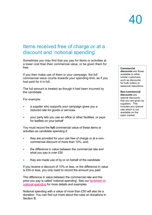## Items received free of charge or at a discount and 'notional spending'

Sometimes you may find that you pay for items or activities at a lower cost than their commercial value, or be given them for free.

If you then make use of them in your campaign, the full commercial value counts towards your spending limit, as if you had paid for it in full..

The full amount is treated as though it had been incurred by the candidate.

For example:

- a supplier who supports your campaign gives you a reduced rate for goods or services.
- your party lets you use an office or other facilities, or pays for leaflets on your behalf

You must record the **full** commercial value of these items or activities as candidate spending if:

- they are provided for your use free of charge or at a noncommercial discount of more than 10%, and;
- the difference in value between the commercial rate and what you pay is over £50
- they are made use of by or on behalf of the candidate

If you receive a discount of 10% or less, or the difference in value is £50 or less, you only need to record the amount you paid.

The difference in value between the commercial rate and the price you pay is called 'notional spending'. See our [factsheet on](https://www.electoralcommission.org.uk/media/3636)  [notional spending](https://www.electoralcommission.org.uk/media/3636) for more details and examples.

Notional spending with a value of more than £50 will also be a donation. You can find out more about the rules on donations in Section B.

## **Commercial**

**discounts** are those available to other similar customers, such as discounts for bulk orders or seasonal reductions.

**Non-commercial discounts** are special discounts that you are given by suppliers. This includes any special rate which is not available on the open market.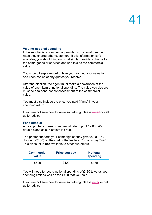### **Valuing notional spending**

If the supplier is a commercial provider, you should use the rates they charge other customers. If this information isn't available, you should find out what similar providers charge for the same goods or services and use this as the commercial value.

You should keep a record of how you reached your valuation and keep copies of any quotes you receive.

After the election, the agent must make a declaration of the value of each item of notional spending. The value you declare must be a fair and honest assessment of the commercial value.

You must also include the price you paid (if any) in your spending return.

If you are not sure how to value something, please [email](mailto:infoscotland@electoralcommission.org.uk) or call us for advice.

### **For example:**

A local printer's normal commercial rate to print 12,000 A5 double sided colour leaflets is £600.

The printer supports your campaign so they give you a 30% discount (£180) on the cost of the leaflets. You only pay £420. This discount is **not** available to other customers.

| <b>Commercial</b><br>value | Price you pay | <b>Notional</b><br>spending |
|----------------------------|---------------|-----------------------------|
| £600                       | £420          | £180                        |

You will need to record notional spending of £180 towards your spending limit as well as the £420 that you paid.

If you are not sure how to value something, please [email](mailto:infoscotland@electoralcommission.org.uk) or call us for advice.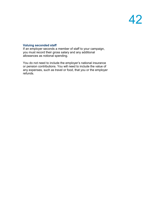### **Valuing seconded staff**

If an employer seconds a member of staff to your campaign, you must record their gross salary and any additional allowances as notional spending.

You do not need to include the employer's national insurance or pension contributions. You will need to include the value of any expenses, such as travel or food, that you or the employer refunds.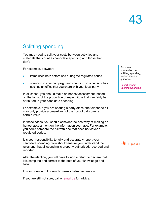## Splitting spending

You may need to split your costs between activities and materials that count as candidate spending and those that don't.

For example, between:

- items used both before and during the regulated period
- spending in your campaign and spending on other activities such as an office that you share with your local party

In all cases, you should make an honest assessment, based on the facts, of the proportion of expenditure that can fairly be attributed to your candidate spending.

For example, if you are sharing a party office, the telephone bill may only provide a breakdown of the cost of calls over a certain value.

In these cases, you should consider the best way of making an honest assessment on the information you have. For example, you could compare the bill with one that does not cover a regulated period.

It is your responsibility to fully and accurately report your candidate spending. You should ensure you understand the rules and that all spending is properly authorised, recorded and reported.

After the election, you will have to sign a return to declare that it is complete and correct to the best of your knowledge and belief.

It is an offence to knowingly make a false declaration.

If you are still not sure, call or [email us](mailto:infoscotland@electoralcommission.org.uk) for advice.

For more information on splitting spending, please see our guidance:

[Expert paper:](https://www.electoralcommission.org.uk/media/2916)  **[Splitting Spending](https://www.electoralcommission.org.uk/media/2916)** 

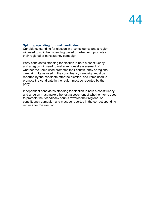### **Splitting spending for dual candidates**

Candidates standing for election in a constituency and a region will need to split their spending based on whether it promotes their regional or constituency campaign.

Party candidates standing for election in both a constituency and a region will need to make an honest assessment of whether the items used promotes their constituency or regional campaign. Items used in the constituency campaign must be reported by the candidate after the election, and items used to promote the candidate in the region must be reported by the party.

Independent candidates standing for election in both a constituency and a region must make a honest assessment of whether items used to promote their candidacy counts towards their regional or constituency campaign and must be reported in the correct spending return after the election.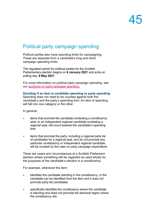## Political party campaign spending

Political parties also have spending limits for campaigning. These are separate from a candidate's long and short campaign spending limits.

The regulated period for political parties for the Scottish Parliamentary election begins on **6 January 2021** and ends on polling day, **6 May 2021**.

For more information on political party campaign spending, see our [guidance on party campaign spending.](https://www.electoralcommission.org.uk/media/7817)

## **Deciding if an item is candidate spending or party spending**

Spending does not need to be counted against both the candidate's and the party's spending limit. An item of spending will fall into one category or the other.

In general:

- items that promote the candidate contesting a constituency seat, or an independent regional candidate contesting a regional seat, will count towards the candidate's spending limit
- items that promote the party, including a regional party list of candidates for a regional seat, and do not promote any particular constituency or independent regional candidate, will be covered by the rules on party campaign expenditure

There are cases and circumstances at a Scottish Parliament election where something will be regarded as used wholly for the purposes of the candidate's election in a constituency.

For example, whenever the item:

- identifies the candidate standing in the constituency, or the candidate can be identified from the item and it does not promote party list candidates
- specifically identifies the constituency where the candidate is standing and does not promote the electoral region where the constituency sits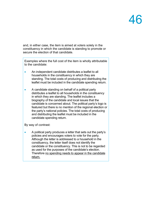and, in either case, the item is aimed at voters solely in the constituency in which the candidate is standing to promote or secure the election of that candidate.

Examples where the full cost of the item is wholly attributable to the candidate:

- An independent candidate distributes a leaflet to all households in the constituency in which they are standing. The total costs of producing and distributing the leaflet must be included in the candidate spending return.
- A candidate standing on behalf of a political party distributes a leaflet to all households in the constituency in which they are standing. The leaflet includes a biography of the candidate and local issues that the candidate is concerned about. The political party's logo is featured but there is no mention of the regional election or the party's national policies. The total costs of producing and distributing the leaflet must be included in the candidate spending return.

By way of contrast:

• A political party produces a letter that sets out the party's policies and encourages voters to vote for the party. Although the letter is addressed to a household in the constituency, the letter itself does not identify the candidate or the constituency. This is not to be regarded as used for the purposes of the candidate's election. Therefore no spending needs to appear in the candidate return.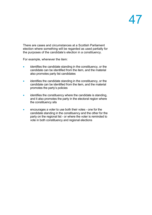There are cases and circumstances at a Scottish Parliament election where something will be regarded as used partially for the purposes of the candidate's election in a constituency.

For example, whenever the item:

- identifies the candidate standing in the constituency, or the candidate can be identified from the item, and the material also promotes party list candidates
- identifies the candidate standing in the constituency, or the candidate can be identified from the item, and the material promotes the party's policies
- identifies the constituency where the candidate is standing, and it also promotes the party in the electoral region where the constituency sits
- encourages a voter to use both their votes one for the candidate standing in the constituency and the other for the party on the regional list - or where the voter is reminded to vote in both constituency and regional elections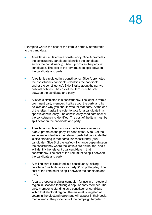Examples where the cost of the item is partially attributable to the candidate:

- A leaflet is circulated in a constituency. Side A promotes the constituency candidate (identifies the candidate and/or the constituency). Side B promotes the party list candidates. The cost of the item must be split between the candidate and party.
- A leaflet is circulated in a constituency. Side A promotes the constituency candidate (identifies the candidate and/or the constituency). Side B talks about the party's national policies. The cost of the item must be split between the candidate and party.
- A letter is circulated in a constituency. The letter is from a prominent party member. It talks about the party and its policies and why you should vote for that party. At the end of the letter, it asks the voter to vote for a candidate in a specific constituency. The constituency candidate and/ or the constituency is identified. The cost of the item must be split between the candidate and party.
- A leaflet is circulated across an entire electoral region. Side A promotes the party list candidates. Side B of the same leaflet identifies the relevant party list candidate that is also standing in that particular constituency (dual candidate). Side B of the leaflet will change depending on the constituency where the leaflets are distributed, and it will identify the relevant dual candidate in that constituency. The cost of the item must be split between the candidate and party.
- A calling card is circulated in a constituency, asking people to "use both votes for party X" on polling day. The cost of the item must be split between the candidate and party.
- A party prepares a digital campaign for use in an electoral region in Scotland featuring a popular party member. The party member is standing as a constituency candidate within that electoral region. The material is targeted at voters in the electoral region and will appear in their social media feeds. The proportion of the campaign targeted in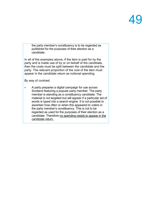the party member's constituency is to be regarded as published for the purposes of their election as a candidate.

In all of the examples above, if the item is paid for by the party and is made use of by or on behalf of the candidate, then the costs must be split between the candidate and the party. The relevant proportion of the cost of the item must appear in the candidate return as notional spending.

By way of contrast:

• A party prepares a digital campaign for use across Scotland featuring a popular party member. The party member is standing as a constituency candidate. The material is not targeted but will appear if a particular set of words is typed into a search engine. It is not possible to ascertain how often or when this appeared to voters in the party member's constituency. This is not to be regarded as used for the purposes of their election as a candidate. Therefore no spending needs to appear in the candidate return.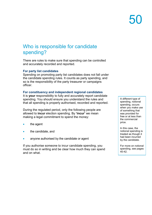## Who is responsible for candidate spending?

There are rules to make sure that spending can be controlled and accurately recorded and reported.

### **For party list candidates**

Spending on promoting party list candidates does not fall under the candidate spending rules. It counts as party spending, and so is the responsibility of the party treasurer or campaigns officer.

### **For constituency and independent regional candidates**

It is **your** responsibility to fully and accurately report candidate spending. You should ensure you understand the rules and that all spending is properly authorised, recorded and reported.

During the regulated period, only the following people are allowed to **incur** election spending. By **'incur'** we mean making a legal commitment to spend the money:

- the agent
- the candidate, and
- anyone authorised by the candidate or agent

If you authorise someone to incur candidate spending, you must do so in writing and be clear how much they can spend and on what.

A different type of spending, notional spending, occurs when you make use of something that was provided for free or at less than the commercial price.

In this case, the notional spending is treated as though it had been incurred by the candidate.

For more on notional spending, see pages 40-42.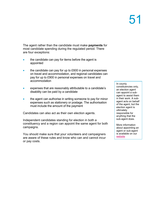The agent rather than the candidate must make **payments** for most candidate spending during the regulated period. There are four exceptions:

- the candidate can pay for items before the agent is appointed
- the candidate can pay for up to £600 in personal expenses on travel and accommodation, and regional candidates can pay for up to £900 in personal expenses on travel and accommodation
- expenses that are reasonably attributable to a candidate's disability can be paid by a candidate
- the agent can authorise in writing someone to pay for minor expenses such as stationery or postage. The authorisation must include the amount of the payment

Candidates can also act as their own election agents.

Independent candidates standing for election in both a constituency and a region can appoint the same agent for both campaigns.

You should make sure that your volunteers and campaigners are aware of these rules and know who can and cannot incur or pay costs.

In county constituencies only, an election agent can appoint a subagent to assist them in their work. A subagent acts on behalf of the agent, but the election agent is ultimately responsible for anything that the sub-agent does.

More information about appointing an agent or sub-agent is available on our [website](http://www.electoralcommission.org.uk/i-am-a/candidate-or-agent)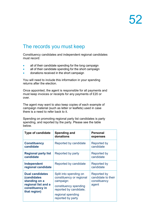## The records you must keep

Constituency candidates and independent regional candidates must record:

- all of their candidate spending for the long campaign
- all of their candidate spending for the short campaign
- donations received in the short campaign

You will need to include this information in your spending returns after the election.

Once appointed, the agent is responsible for all payments and must keep invoices or receipts for any payments of £20 or over.

The agent may want to also keep copies of each example of campaign material (such as letter or leaflets) used in case there is a need to refer back to it.

Spending on promoting regional party list candidates is party spending, and reported by the party. Please see the table below.

| <b>Type of candidate</b>                                                              | Spending and<br>donations                                                                | <b>Personal</b><br>expenses                                |  |
|---------------------------------------------------------------------------------------|------------------------------------------------------------------------------------------|------------------------------------------------------------|--|
| <b>Constituency</b><br>candidate                                                      | Reported by candidate                                                                    | Reported by<br>candidate                                   |  |
| <b>Regional party list</b><br>candidate                                               | Reported by party                                                                        | Reported by<br>candidate                                   |  |
| Independent<br>regional candidate                                                     | Reported by candidate                                                                    | Reported by<br>candidate                                   |  |
| <b>Dual candidates</b><br><i>(candidates)</i><br>standing on a<br>regional list and a | Split into spending on<br>constituency or regional<br>campaign:<br>constituency spending | Reported by<br>candidate to their<br>constituency<br>agent |  |
| constituency in<br>that region)                                                       | reported by candidate;                                                                   |                                                            |  |
|                                                                                       | regional spending<br>reported by party                                                   |                                                            |  |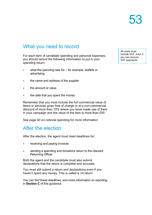## What you need to record

For each item of candidate spending and personal expenses, you should record the following information to put in your spending return:

- what the spending was for for example, leaflets or advertising
- the name and address of the supplier
- the amount or value
- the date that you spent the money

Remember that you must include the full commercial value of items or services given free of charge or at a non-commercial discount of more than 10% where you have made use of them in your campaign and the value of the item is more than £50.

See page 40 on notional spending for more information

## After the election

After the election, the agent must meet deadlines for:

- receiving and paying invoices
- sending a spending and donations return to the relevant Returning Officer

Both the agent and the candidate must also submit declarations that the return is complete and accurate.

You must still submit a return and declarations even if you haven't spent any money. This is called a 'nil return'.

You can find these deadlines, and more information on reporting, in **Section C** of this guidance.

All costs must include VAT, even if you can recover VAT payments.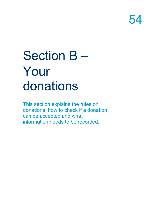# Section B – Your donations

This section explains the rules on donations, how to check if a donation can be accepted and what information needs to be recorded.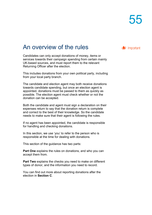## An overview of the rules

Candidates can only accept donations of money, items or services towards their campaign spending from certain mainly UK-based sources, and must report them to the relevant Returning Officer after the election.

This includes donations from your own political party, including from your local party branch.

The candidate and election agent may both receive donations towards candidate spending, but once an election agent is appointed, donations must be passed to them as quickly as possible. The election agent must check whether or not the donation can be accepted.

Both the candidate and agent must sign a declaration on their expenses return to say that the donation return is complete and correct to the best of their knowledge. So the candidate needs to make sure that their agent is following the rules.

If no agent has been appointed, the candidate is responsible for handling and checking donations.

In this section, we use 'you' to refer to the person who is responsible at the time for dealing with donations.

This section of the guidance has two parts:

**Part One** explains the rules on donations, and who you can accept them from.

**Part Two** explains the checks you need to make on different types of donor, and the information you need to record.

You can find out more about reporting donations after the election in **Section C**.

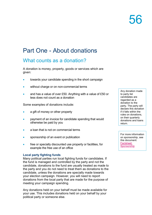# Part One - About donations

## What counts as a donation?

A donation is money, property, goods or services which are given:

- towards your candidate spending in the short campaign
- without charge or on non-commercial terms
- and has a value of over £50. Anything with a value of £50 or less does not count as a donation

Some examples of donations include:

- a gift of money or other property
- payment of an invoice for candidate spending that would otherwise be paid by you
- a loan that is not on commercial terms
- sponsorship of an event or publication
- free or specially discounted use property or facilities, for example the free use of an office

### **Local party fighting funds**

Many political parties run local fighting funds for candidates. If the fund is managed and controlled by the party and not the candidate, donations to the fund are usually treated as made to the party and you do not need to treat them as donations to the candidate, unless the donations are specially made towards your election campaign. However, you will need to report donations from the local party that are made for the purpose of meeting your campaign spending.

Any donations held on your behalf must be made available for your use. This includes donations held on your behalf by your political party or someone else.

Any donation made to party list candidates are regarded as a donation to the party. The party will declare this donation if it falls within the rules on donations, on their quarterly donations and loans return.

For more information on sponsorship, see this document: [Factsheet:](https://www.electoralcommission.org.uk/media/2046)  [Sponsorship](https://www.electoralcommission.org.uk/media/2046)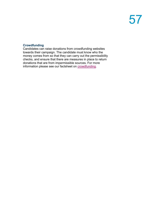### **Crowdfunding**

Candidates can raise donations from crowdfunding websites towards their campaign. The candidate must know who the money comes from so that they can carry out the permissibility checks, and ensure that there are measures in place to return donations that are from impermissible sources. For more information please see our factsheet on [crowdfunding.](https://www.electoralcommission.org.uk/media/4371)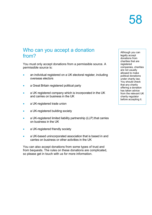## Who can you accept a donation from?

You must only accept donations from a permissible source. A permissible source is:

- an individual registered on a UK electoral register, including overseas electors
- a Great Britain registered political party
- a UK registered company which is incorporated in the UK and carries on business in the UK
- a UK-registered trade union
- a UK-registered building society
- a UK-registered limited liability partnership (LLP) that carries on business in the UK
- a UK-registered friendly society
- a UK-based unincorporated association that is based in and carries on business or other activities in the UK

You can also accept donations from some types of trust and from bequests. The rules on these donations are complicated, so please get in touch with us for more information.

Although you can legally accept donations from charities that are registered companies, charities are not usually allowed to make political donations under charity law. You should check that any charity offering a donation has taken advice from the relevant UK charity regulator before accepting it.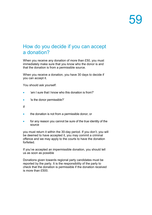## How do you decide if you can accept a donation?

When you receive any donation of more than £50, you must immediately make sure that you know who the donor is and that the donation is from a permissible source.

When you receive a donation, you have 30 days to decide if you can accept it.

You should ask yourself:

- 'am I sure that I know who this donation is from?'
- 'is the donor permissible?'

If

- the donation is not from a permissible donor, or
- for any reason you cannot be sure of the true identity of the source

you must return it within the 30-day period. If you don't, you will be deemed to have accepted it, you may commit a criminal offence and we may apply to the courts to have the donation forfeited.

If you've accepted an impermissible donation, you should tell us as soon as possible

Donations given towards regional party candidates must be reported by the party. It is the responsibility of the party to check that the donation is permissible if the donation received is more than £500.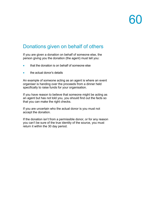## Donations given on behalf of others

If you are given a donation on behalf of someone else, the person giving you the donation (the agent) must tell you:

- that the donation is on behalf of someone else
- the actual donor's details

An example of someone acting as an agent is where an event organiser is handing over the proceeds from a dinner held specifically to raise funds for your organisation.

If you have reason to believe that someone might be acting as an agent but has not told you, you should find out the facts so that you can make the right checks.

If you are uncertain who the actual donor is you must not accept the donation.

If the donation isn't from a permissible donor, or for any reason you can't be sure of the true identity of the source, you must return it within the 30 day period.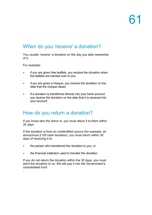## When do you 'receive' a donation?

You usually 'receive' a donation on the day you take ownership of it.

For example:

.

- if you are given free leaflets, you receive the donation when the leaflets are handed over to you
- if you are given a cheque, you receive the donation on the date that the cheque clears
- if a donation is transferred directly into your bank account you receive the donation on the date that it is received into your account

## How do you return a donation?

If you know who the donor is, you must return it to them within 30 days.

If the donation is from an unidentified source (for example, an anonymous £100 cash donation), you must return within 30 days of receiving it to:

- the person who transferred the donation to you; or
- the financial institution used to transfer the donation

If you do not return the donation within the 30 days, you must send the donation to us. We will pay it into the Government's consolidated fund.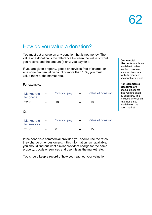## How do you value a donation?

You must put a value on any donation that is not money. The value of a donation is the difference between the value of what you receive and the amount (if any) you pay for it.

If you are given property, goods or services free of charge, or at a non-commercial discount of more than 10%, you must value them at the market rate.

For example:

| Market rate<br>for goods    |                | Price you pay | =   | Value of donation |
|-----------------------------|----------------|---------------|-----|-------------------|
| £200                        | $\overline{a}$ | £100          | =   | £100              |
| Or:                         |                |               |     |                   |
| Market rate<br>for services | -              | Price you pay | $=$ | Value of donation |
| £150                        |                | £0            |     | £150              |

If the donor is a commercial provider, you should use the rates they charge other customers. If this information isn't available, you should find out what similar providers charge for the same property, goods or services and use this as the market rate.

You should keep a record of how you reached your valuation.

**Commercial discounts** are those available to other similar customers, such as discounts for bulk orders or seasonal reductions.

**Non-commercial discounts** are special discounts that you are given by suppliers. This includes any special rate that is not available on the open market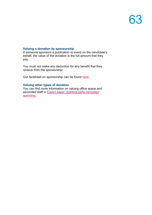### **Valuing a donation by sponsorship**

If someone sponsors a publication or event on the candidate's behalf, the value of the donation is the full amount that they pay.

You must not make any deduction for any benefit that they receive from the sponsorship.

Our factsheet on sponsorship can be found [here.](https://www.electoralcommission.org.uk/media/2046)

### **Valuing other types of donation**

You can find more information on valuing office space and seconded staff in **Expert paper: Splitting party campaign** [spending.](https://www.electoralcommission.org.uk/media/2916)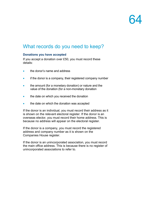## What records do you need to keep?

### **Donations you have accepted**

If you accept a donation over £50, you must record these details:

- the donor's name and address
- if the donor is a company, their registered company number
- the amount (for a monetary donation) or nature and the value of the donation (for a non-monetary donation
- the date on which you received the donation
- the date on which the donation was accepted

If the donor is an individual, you must record their address as it is shown on the relevant electoral register. If the donor is an overseas elector, you must record their home address. This is because no address will appear on the electoral register.

If the donor is a company, you must record the registered address and company number as it is shown on the Companies House register.

If the donor is an unincorporated association, you must record the main office address. This is because there is no register of unincorporated associations to refer to.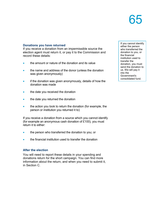### **Donations you have returned**

If you receive a donation from an impermissible source the election agent must return it, or pay it to the Commission and record these details:

- the amount or nature of the donation and its value
- the name and address of the donor (unless the donation was given anonymously)
- if the donation was given anonymously, details of how the donation was made
- the date you received the donation
- the date you returned the donation
- the action you took to return the donation (for example, the person or institution you returned it to)

If you receive a donation from a source which you cannot identify (for example an anonymous cash donation of £100), you must return it to either:

- the person who transferred the donation to you; or
- the financial institution used to transfer the donation

### **After the election**

You will need to report these details in your spending and donations return for the short campaign. You can find more information about the return, and when you need to submit it, in Section C.

If you cannot identify either the person who transferred the donation to you, or the financial institution used to transfer the donation, you must send the donation to us. We will pay it into the Government's consolidated fund.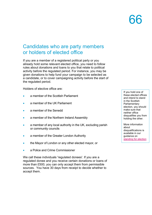## Candidates who are party members or holders of elected office

If you are a member of a registered political party or you already hold some relevant elected office, you need to follow rules about donations and loans to you that relate to political activity before the regulated period. For instance, you may be given donations to help fund your campaign to be selected as a candidate, or to cover campaigning activity before the start of the regulated period.

Holders of elective office are:

- a member of the Scottish Parliament
- a member of the UK Parliament
- a member of the Senedd
- a member of the Northern Ireland Assembly
- a member of any local authority in the UK, excluding parish or community councils
- a member of the Greater London Authority
- the Mayor of London or any other elected mayor, or
- a Police and Crime Commissioner

We call these individuals 'regulated donees'. If you are a regulated donee and you receive certain donations or loans of more than £500, you can only accept them from permissible sources. You have 30 days from receipt to decide whether to accept them.

If you hold one of these elected offices and intend to stand in the Scottish **Parliamentary** election, you should make sure that neither office disqualifies you from holding the other.

More information about disqualifications is available in our guidance on [standing for election](https://www.electoralcommission.org.uk/media/3950)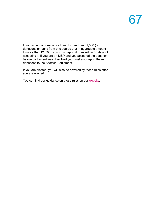If you accept a donation or loan of more than £1,500 (or donations or loans from one source that in aggregate amount to more than £1,500), you must report it to us within 30 days of accepting it. If you are an MSP and you accepted the donation before parliament was dissolved you must also report these donations to the Scottish Parliament.

If you are elected, you will also be covered by these rules after you are elected.

You can find our guidance on these rules on our [website.](https://www.electoralcommission.org.uk/guidance-regulated-individuals)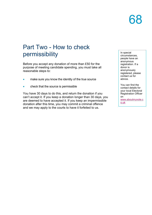## Part Two - How to check permissibility

Before you accept any donation of more than £50 for the purpose of meeting candidate spending, you must take all reasonable steps to:

- make sure you know the identity of the true source
- check that the source is permissible

You have 30 days to do this, and return the donation if you can't accept it. If you keep a donation longer than 30 days, you are deemed to have accepted it. If you keep an impermissible donation after this time, you may commit a criminal offence and we may apply to the courts to have it forfeited to us.

In special circumstances, people have an anonymous registration. If a donor is anonymously registered, please contact us for advice.

You can find the contact details for your local Electoral Registration Officer on [www.aboutmyvote.c](http://www.aboutmyvote.co.uk/) [o.uk](http://www.aboutmyvote.co.uk/)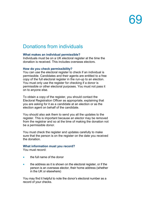## Donations from individuals

### **What makes an individual permissible?**

Individuals must be on a UK electoral register at the time the donation is received. This includes overseas electors.

### **How do you check permissibility?**

You can use the electoral register to check if an individual is permissible. Candidates and their agents are entitled to a free copy of the full electoral register in the run-up to an election. You must only use the register for checking if a donor is permissible or other electoral purposes. You must not pass it on to anyone else.

To obtain a copy of the register, you should contact the Electoral Registration Officer as appropriate, explaining that you are asking for it as a candidate at an election or as the election agent on behalf of the candidate.

You should also ask them to send you all the updates to the register. This is important because an elector may be removed from the registrar and so at the time of making the donation not be a permissible donor.

You must check the register and updates carefully to make sure that the person is on the register on the date you received the donation.

### **What information must you record?**

You must record:

- the full name of the donor
- the address as it is shown on the electoral register, or if the person is an overseas elector, their home address (whether in the UK or elsewhere)

You may find it helpful to note the donor's electoral number as a record of your checks.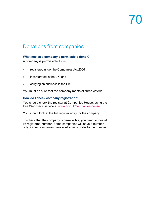# $\sqrt{2}$

## Donations from companies

### **What makes a company a permissible donor?**

A company is permissible if it is:

- registered under the Companies Act 2006
- incorporated in the UK, and
- carrying on business in the UK

You must be sure that the company meets all three criteria.

### **How do I check company registration?**

You should check the register at Companies House, using the free Webcheck service at [www.gov.uk/companies-house.](http://www.gov.uk/companies-house)

You should look at the full register entry for the company.

To check that the company is permissible, you need to look at its registered number. Some companies will have a number only. Other companies have a letter as a prefix to the number.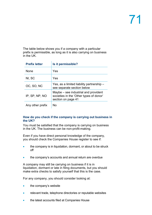The table below shows you if a company with a particular prefix is permissible, as long as it is also carrying on business in the UK.

| <b>Prefix letter</b> | Is it permissible?                                                                                    |
|----------------------|-------------------------------------------------------------------------------------------------------|
| None                 | Yes                                                                                                   |
| NI, SC               | Yes                                                                                                   |
| OC, SO, NC           | Yes, as a limited liability partnership –<br>see separate section below                               |
| IP, SP, NP, NO       | Maybe – see industrial and provident<br>societies in the 'Other types of donor'<br>section on page 41 |
| Any other prefix     | Nο                                                                                                    |

#### **How do you check if the company is carrying out business in the UK?**

You must be satisfied that the company is carrying on business in the UK. The business can be non-profit-making.

Even if you have direct personal knowledge of the company, you should check the Companies House register to see if:

- the company is in liquidation, dormant, or about to be struck off
- the company's accounts and annual return are overdue

A company may still be carrying on business if it is in liquidation, dormant or late in filing documents, but you should make extra checks to satisfy yourself that this is the case.

For any company, you should consider looking at:

- the company's website
- relevant trade, telephone directories or reputable websites
- the latest accounts filed at Companies House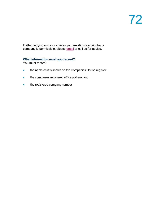If after carrying out your checks you are still uncertain that a company is permissible, please [email](mailto:infoscotland@electoralcommission.org.uk) or call us for advice.

### **What information must you record?**

You must record:

- the name as it is shown on the Companies House register
- the companies registered office address and
- the registered company number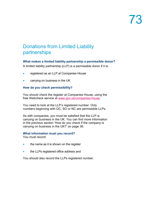## Donations from Limited Liability partnerships

### **What makes a limited liability partnership a permissible donor?**

A limited liability partnership (LLP) is a permissible donor if it is:

- registered as an LLP at Companies House
- carrying on business in the UK

#### **How do you check permissibility?**

You should check the register at Companies House, using the free Webcheck service at [www.gov.uk/companies-house.](http://www.gov.uk/companies-house)

You need to look at the LLP's registered number. Only numbers beginning with OC, SO or NC are permissible LLPs.

As with companies, you must be satisfied that the LLP is carrying on business in the UK. You can find more information in the previous section 'How do you check if the company is carrying on business in the UK?' on page 36.

#### **What information must you record?**

You must record:

- the name as it is shown on the register
- the LLPs registered office address and

You should also record the LLPs registered number.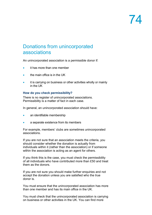## Donations from unincorporated associations

An unincorporated association is a permissible donor if:

- it has more than one member
- the main office is in the UK
- it is carrying on business or other activities wholly or mainly in the UK

#### **How do you check permissibility?**

There is no register of unincorporated associations. Permissibility is a matter of fact in each case.

In general, an unincorporated association should have:

- an identifiable membership
- a separate existence from its members

For example, members' clubs are sometimes unincorporated associations.

If you are not sure that an association meets the criteria, you should consider whether the donation is actually from individuals within it (rather than the association) or if someone within the association is acting as an agent for others.

If you think this is the case, you must check the permissibility of all individuals who have contributed more than £50 and treat them as the donors.

If you are not sure you should make further enquiries and not accept the donation unless you are satisfied who the true donor is.

You must ensure that the unincorporated association has more than one member and has its main office in the UK.

You must check that the unincorporated association is carrying on business or other activities in the UK. You can find more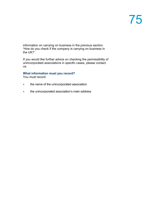information on carrying on business in the previous section 'How do you check if the company is carrying on business in the UK?'.

If you would like further advice on checking the permissibility of unincorporated associations in specific cases, please contact us.

#### **What information must you record?**

You must record:

- the name of the unincorporated association
- the unincorporated association's main address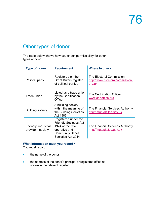## Other types of donor

The table below shows how you check permissibility for other types of donor.

| <b>Type of donor</b>                      | <b>Requirement</b>                                                                                                                          | Where to check                                                               |  |
|-------------------------------------------|---------------------------------------------------------------------------------------------------------------------------------------------|------------------------------------------------------------------------------|--|
| Political party                           | Registered on the<br><b>Great Britain register</b><br>of political parties                                                                  | The Electoral Commission<br>http://www.electoralcommission.<br><u>org.uk</u> |  |
| Trade union                               | Listed as a trade union<br>by the Certification<br>Officer                                                                                  | The Certification Officer<br>www.certoffice.org                              |  |
| <b>Building society</b>                   | A building society<br>within the meaning of<br>the Building Societies<br>Act 1986                                                           | The Financial Services Authority<br>http://mutuals.fsa.gov.uk                |  |
| Friendly/ industrial<br>provident society | Registered under the<br><b>Friendly Societies Act</b><br>1974 or the Co-<br>operative and<br><b>Community Benefit</b><br>Societies Act 2014 | The Financial Services Authority<br>http://mutuals.fsa.gov.uk                |  |

### **What information must you record?**

You must record:

- the name of the donor
- the address of the donor's principal or registered office as shown in the relevant register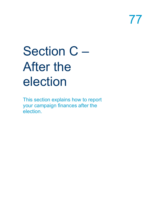# Section C – After the election

This section explains how to report your campaign finances after the election.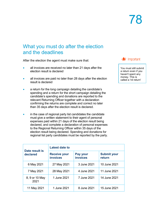## What you must do after the election and the deadlines

After the election the agent must make sure that:

- all invoices are received no later than 21 days after the election result is declared
- all invoices are paid no later than 28 days after the election result is declared
- a return for the long campaign detailing the candidate's spending and a return for the short campaign detailing the candidate's spending and donations are reported to the relevant Returning Officer together with a declaration confirming the returns are complete and correct no later than 35 days after the election result is declared.
- in the case of regional party list candidates the candidate must give a written statement to their agent of personal expenses paid within 21 days of the election result being declared, and complete a declaration of personal expenses to the Regional Returning Officer within 35 days of the election result being declared. Spending and donations for regional list party candidates must be reported by the party.

| Date result is<br>declared | Latest date to                         |                             |                              |  |
|----------------------------|----------------------------------------|-----------------------------|------------------------------|--|
|                            | <b>Receive your</b><br><b>invoices</b> | Pay your<br><b>invoices</b> | <b>Submit your</b><br>return |  |
| 6 May 2021                 | 27 May 2021                            | 3 June 2021                 | 10 June 2021                 |  |
| 7 May 2021                 | 28 May 2021                            | 4 June 2021                 | 11 June 2021                 |  |
| 8, 9 or 10 May<br>2021     | 1 June 2021                            | 7 June 2021                 | 14 June 2021                 |  |
| 11 May 2021                | 1 June 2021                            | 8 June 2021                 | 15 June 2021                 |  |



You must still submit a return even if you haven't spent any money. This is called a 'nil return'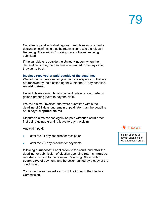Constituency and individual regional candidates must submit a declaration confirming that the return is correct to the relevant Returning Officer within 7 working days of the return being submitted.

If the candidate is outside the United Kingdom when the declaration is due, the deadline is extended to 14 days after they come back.

#### **Invoices received or paid outside of the deadlines**

We call claims (invoices for your candidate spending) that are not received by the election agent within the 21 day deadline, **unpaid claims**.

Unpaid claims cannot legally be paid unless a court order is gained granting leave to pay the claim.

We call claims (invoices) that were submitted within the deadline of 21 days but remain unpaid later than the deadline of 28 days, **disputed claims**.

Disputed claims cannot legally be paid without a court order first being gained granting leave to pay the claim.

Any claim paid:

- after the 21 day deadline for receipt, or
- after the 28- day deadline for payments

following a **successful** application to the court, and **after** the deadline for submission of election spending returns, **must** be reported in writing to the relevant Returning Officer within **seven days** of payment, and be accompanied by a copy of the court order.

You should also forward a copy of the Order to the Electoral Commission.



It is an offence to pay an unpaid claim without a court order.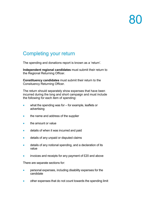## Completing your return

The spending and donations report is known as a 'return'.

**Independent regional candidates** must submit their return to the Regional Returning Officer.

**Constituency candidates** must submit their return to the Consituency Returning Officer.

The return should separately show expenses that have been incurred during the long and short campaign and must include the following for each item of spending:

- what the spending was for for example, leaflets or advertising
- the name and address of the supplier
- the amount or value
- details of when it was incurred and paid
- details of any unpaid or disputed claims
- details of any notional spending, and a declaration of its value
- invoices and receipts for any payment of £20 and above

There are separate sections for:

- personal expenses, including disability expenses for the candidate
- other expenses that do not count towards the spending limit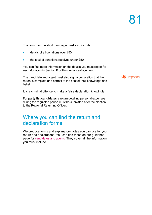The return for the short campaign must also include:

- details of all donations over £50
- the total of donations received under £50

You can find more information on the details you must report for each donation in Section B of this guidance document.

The candidate and agent must also sign a declaration that the return is complete and correct to the best of their knowledge and belief.

It is a criminal offence to make a false declaration knowingly.

For **party list candidates** a return detailing personal expenses during the regulated period must be submitted after the election to the Regional Returning Officer.

### Where you can find the return and declaration forms

We produce forms and explanatory notes you can use for your return and declarations. You can find these on our guidance page for [candidates and agents.](https://www.electoralcommission.org.uk/i-am-a/candidate-or-agent/scottish-parliamentary-elections) They cover all the information you must include.